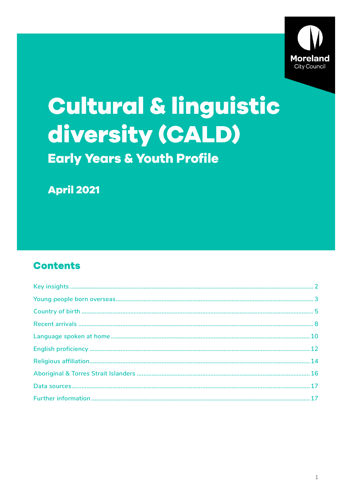

# Cultural & linguistic diversity (CALD) **Early Years & Youth Profile**

**April 2021** 

## **Contents**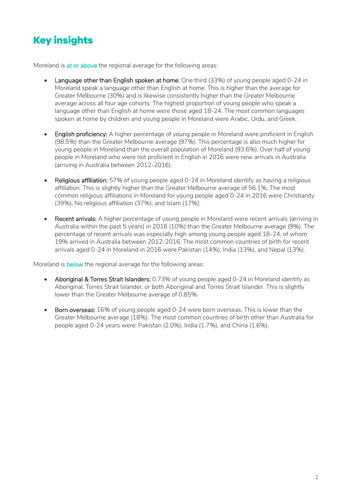# <span id="page-1-0"></span>**Key insights**

Moreland is at or above the regional average for the following areas:

- Language other than English spoken at home: One third (33%) of young people aged 0-24 in Moreland speak a language other than English at home. This is higher than the average for Greater Melbourne (30%) and is likewise consistently higher than the Greater Melbourne average across all four age cohorts. The highest proportion of young people who speak a language other than English at home were those aged 18-24. The most common languages spoken at home by children and young people in Moreland were Arabic, Urdu, and Greek.
- English proficiency: A higher percentage of young people in Moreland were proficient in English (98.5%) than the Greater Melbourne average (97%). This percentage is also much higher for young people in Moreland than the overall population of Moreland (93.6%). Over half of young people in Moreland who were not proficient in English in 2016 were new arrivals in Australia (arriving in Australia between 2012-2016).
- Religious affiliation: 57% of young people aged 0-24 in Moreland identify as having a religious affiliation. This is slightly higher than the Greater Melbourne average of 56.1%. The most common religious affiliations in Moreland for young people aged 0-24 in 2016 were Christianity (39%), No religious affiliation (37%), and Islam (17%).
- Recent arrivals: A higher percentage of young people in Moreland were recent arrivals (arriving in Australia within the past 5 years) in 2016 (10%) than the Greater Melbourne average (9%). The percentage of recent arrivals was especially high among young people aged 18-24, of whom 19% arrived in Australia between 2012-2016. The most common countries of birth for recent arrivals aged 0-24 in Moreland in 2016 were Pakistan (14%), India (13%), and Nepal (13%).

Moreland is **below** the regional average for the following areas:

- Aboriginal & Torres Strait Islanders: 0.73% of young people aged 0-24 in Moreland identify as Aboriginal, Torres Strait Islander, or both Aboriginal and Torres Strait Islander. This is slightly lower than the Greater Melbourne average of 0.85%.
- Born overseas: 16% of young people aged 0-24 were born overseas. This is lower than the Greater Melbourne average (18%). The most common countries of birth other than Australia for people aged 0-24 years were: Pakistan (2.0%), India (1.7%), and China (1.6%).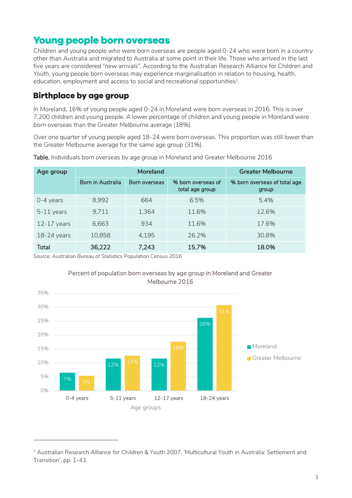## <span id="page-2-0"></span>**Young people born overseas**

Children and young people who were born overseas are people aged 0-24 who were born in a country other than Australia and migrated to Australia at some point in their life. Those who arrived in the last five years are considered "new arrivals". According to the Australian Research Alliance for Children and Youth, young people born overseas may experience marginalisation in relation to housing, health, education, employment and access to social and recreational opportunities $^{\rm 1}$ .

## **Birthplace by age group**

In Moreland, 16% of young people aged 0-24 in Moreland were born overseas in 2016. This is over 7,200 children and young people. A lower percentage of children and young people in Moreland were born overseas than the Greater Melbourne average (18%).

Over one quarter of young people aged 18-24 were born overseas. This proportion was still lower than the Greater Melbourne average for the same age group (31%).

| Age group     | <b>Moreland</b>   |               |                                       | <b>Greater Melbourne</b>              |  |
|---------------|-------------------|---------------|---------------------------------------|---------------------------------------|--|
|               | Born in Australia | Born overseas | % born overseas of<br>total age group | % born overseas of total age<br>group |  |
| $0-4$ years   | 8,992             | 664           | 6.5%                                  | 5.4%                                  |  |
| 5-11 years    | 9,711             | 1,364         | 11.6%                                 | 12.6%                                 |  |
| $12-17$ years | 6,663             | 934           | 11.6%                                 | 17.6%                                 |  |
| 18-24 years   | 10,858            | 4,195         | 26.2%                                 | 30.8%                                 |  |
| <b>Total</b>  | 36,222            | 7,243         | 15.7%                                 | 18.0%                                 |  |

Table. Individuals born overseas by age group in Moreland and Greater Melbourne 2016

Source: Australian Bureau of Statistics Population Census 2016

-



#### Percent of population born overseas by age group in Moreland and Greater Melbourne 2016

<sup>1</sup> Australian Research Alliance for Children & Youth 2007, 'Multicultural Youth in Australia: Settlement and Transition', pp. 1-43.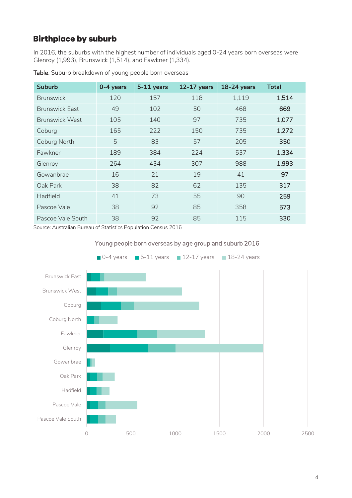## **Birthplace by suburb**

In 2016, the suburbs with the highest number of individuals aged 0-24 years born overseas were Glenroy (1,993), Brunswick (1,514), and Fawkner (1,334).

| <b>Suburb</b>         | 0-4 years | 5-11 years | $12-17$ years | <b>18-24 years</b> | <b>Total</b> |
|-----------------------|-----------|------------|---------------|--------------------|--------------|
| <b>Brunswick</b>      | 120       | 157        | 118           | 1,119              | 1,514        |
| <b>Brunswick Fast</b> | 49        | 102        | 50            | 468                | 669          |
| <b>Brunswick West</b> | 105       | 140        | 97            | 735                | 1,077        |
| Coburg                | 165       | 222        | 150           | 735                | 1,272        |
| Coburg North          | 5         | 83         | 57            | 205                | 350          |
| Fawkner               | 189       | 384        | 224           | 537                | 1,334        |
| Glenroy               | 264       | 434        | 307           | 988                | 1,993        |
| Gowanbrae             | 16        | 21         | 19            | 41                 | 97           |
| Oak Park              | 38        | 82         | 62            | 135                | 317          |
| Hadfield              | 41        | 73         | 55            | 90                 | 259          |
| Pascoe Vale           | 38        | 92         | 85            | 358                | 573          |
| Pascoe Vale South     | 38        | 92         | 85            | 115                | 330          |

Table. Suburb breakdown of young people born overseas



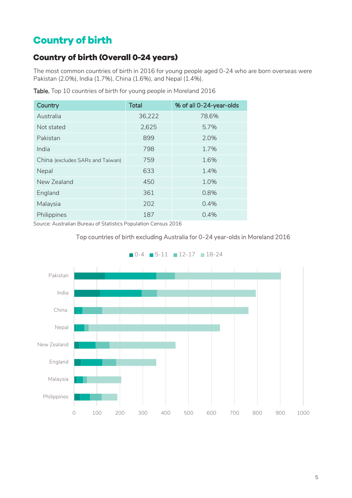# <span id="page-4-0"></span>**Country of birth**

## **Country of birth (Overall 0-24 years)**

The most common countries of birth in 2016 for young people aged 0-24 who are born overseas were Pakistan (2.0%), India (1.7%), China (1.6%), and Nepal (1.4%).

| Country                          | <b>Total</b> | % of all 0-24-year-olds |
|----------------------------------|--------------|-------------------------|
| Australia                        | 36,222       | 78.6%                   |
| Not stated                       | 2,625        | 5.7%                    |
| Pakistan                         | 899          | 2.0%                    |
| India                            | 798          | 1.7%                    |
| China (excludes SARs and Taiwan) | 759          | 1.6%                    |
| Nepal                            | 633          | 1.4%                    |
| New Zealand                      | 450          | 1.0%                    |
| England                          | 361          | 0.8%                    |
| Malaysia                         | 202          | 0.4%                    |
| Philippines                      | 187          | 0.4%                    |

Table. Top 10 countries of birth for young people in Moreland 2016

Source: Australian Bureau of Statistics Population Census 2016





 $\blacksquare$  0-4  $\blacksquare$  5-11  $\blacksquare$  12-17  $\blacksquare$  18-24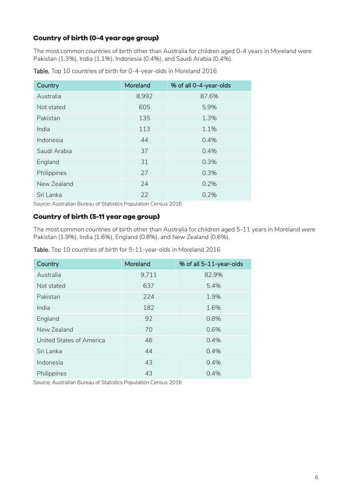#### **Country of birth (0-4 year age group)**

The most common countries of birth other than Australia for children aged 0-4 years in Moreland were Pakistan (1.3%), India (1.1%), Indonesia (0.4%), and Saudi Arabia (0.4%).

| Country      | Moreland | % of all 0-4-year-olds |
|--------------|----------|------------------------|
| Australia    | 8,992    | 87.6%                  |
| Not stated   | 605      | 5.9%                   |
| Pakistan     | 135      | 1.3%                   |
| India        | 113      | 1.1%                   |
| Indonesia    | 44       | 0.4%                   |
| Saudi Arabia | 37       | 0.4%                   |
| England      | 31       | 0.3%                   |
| Philippines  | 27       | 0.3%                   |
| New Zealand  | 24       | 0.2%                   |
| Sri Lanka    | 22       | 0.2%                   |

Table. Top 10 countries of birth for 0-4-year-olds in Moreland 2016

Source: Australian Bureau of Statistics Population Census 2016

#### **Country of birth (5-11 year age group)**

The most common countries of birth other than Australia for children aged 5-11 years in Moreland were Pakistan (1.9%), India (1.6%), England (0.8%), and New Zealand (0.6%).

Table. Top 10 countries of birth for 5-11-year-olds in Moreland 2016

| Country                  | Moreland | % of all 5-11-year-olds |
|--------------------------|----------|-------------------------|
| Australia                | 9,711    | 82.9%                   |
| Not stated               | 637      | 5.4%                    |
| Pakistan                 | 224      | 1.9%                    |
| India                    | 182      | 1.6%                    |
| England                  | 92       | 0.8%                    |
| New Zealand              | 70       | 0.6%                    |
| United States of America | 46       | 0.4%                    |
| Sri Lanka                | 44       | 0.4%                    |
| Indonesia                | 43       | 0.4%                    |
| Philippines              | 43       | 0.4%                    |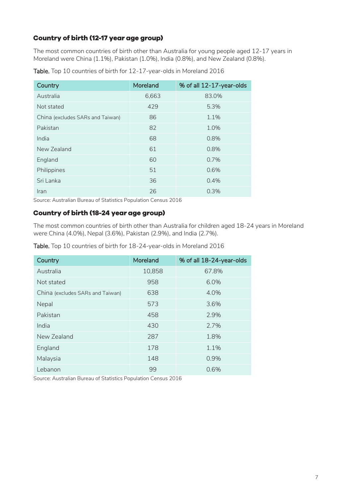#### **Country of birth (12-17 year age group)**

The most common countries of birth other than Australia for young people aged 12-17 years in Moreland were China (1.1%), Pakistan (1.0%), India (0.8%), and New Zealand (0.8%).

| Country                          | Moreland | % of all 12-17-year-olds |
|----------------------------------|----------|--------------------------|
| Australia                        | 6,663    | 83.0%                    |
| Not stated                       | 429      | 5.3%                     |
| China (excludes SARs and Taiwan) | 86       | 1.1%                     |
| Pakistan                         | 82       | 1.0%                     |
| India                            | 68       | 0.8%                     |
| New Zealand                      | 61       | 0.8%                     |
| England                          | 60       | 0.7%                     |
| Philippines                      | 51       | 0.6%                     |
| Sri Lanka                        | 36       | 0.4%                     |
| Iran                             | 26       | 0.3%                     |

Table. Top 10 countries of birth for 12-17-year-olds in Moreland 2016

Source: Australian Bureau of Statistics Population Census 2016

#### **Country of birth (18-24 year age group)**

The most common countries of birth other than Australia for children aged 18-24 years in Moreland were China (4.0%), Nepal (3.6%), Pakistan (2.9%), and India (2.7%).

Table. Top 10 countries of birth for 18-24-year-olds in Moreland 2016

| Country                          | Moreland | % of all 18-24-year-olds |
|----------------------------------|----------|--------------------------|
| Australia                        | 10,858   | 67.8%                    |
| Not stated                       | 958      | 6.0%                     |
| China (excludes SARs and Taiwan) | 638      | 4.0%                     |
| Nepal                            | 573      | 3.6%                     |
| Pakistan                         | 458      | 2.9%                     |
| India                            | 430      | 2.7%                     |
| New Zealand                      | 287      | 1.8%                     |
| England                          | 178      | 1.1%                     |
| Malaysia                         | 148      | 0.9%                     |
| Lebanon                          | 99       | 0.6%                     |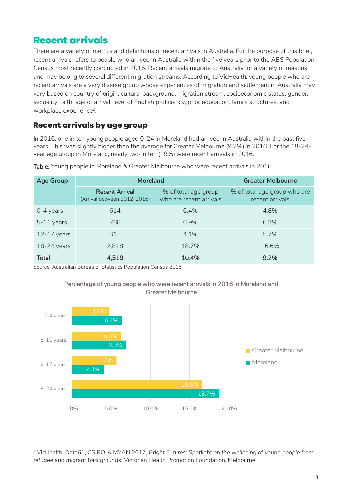## <span id="page-7-0"></span>**Recent arrivals**

There are a variety of metrics and definitions of recent arrivals in Australia. For the purpose of this brief, recent arrivals refers to people who arrived in Australia within the five years prior to the ABS Population Census most recently conducted in 2016. Recent arrivals migrate to Australia for a variety of reasons and may belong to several different migration streams. According to VicHealth, young people who are recent arrivals are a very diverse group whose experiences of migration and settlement in Australia may vary based on country of origin, cultural background, migration stream, socioeconomic status, gender, sexuality, faith, age of arrival, level of English proficiency, prior education, family structures, and workplace experience<sup>2</sup>.

## **Recent arrivals by age group**

In 2016, one in ten young people aged 0-24 in Moreland had arrived in Australia within the past five years. This was slightly higher than the average for Greater Melbourne (9.2%) in 2016. For the 18-24 year age group in Moreland, nearly two in ten (19%) were recent arrivals in 2016.

| <b>Age Group</b> | <b>Moreland</b>                                      | <b>Greater Melbourne</b>                        |                                                 |
|------------------|------------------------------------------------------|-------------------------------------------------|-------------------------------------------------|
|                  | <b>Recent Arrival</b><br>(Arrival between 2012-2016) | % of total age group<br>who are recent arrivals | % of total age group who are<br>recent arrivals |
| $0-4$ years      | 614                                                  | 6.4%                                            | 4.8%                                            |
| $5-11$ years     | 768                                                  | 6.9%                                            | 6.3%                                            |
| $12-17$ years    | 315                                                  | 4.1%                                            | 5.7%                                            |
| $18-24$ years    | 2,818                                                | 18.7%                                           | 16.6%                                           |
| <b>Total</b>     | 4,519                                                | 10.4%                                           | $9.2\%$                                         |

Table. Young people in Moreland & Greater Melbourne who were recent arrivals in 2016

Source: Australian Bureau of Statistics Population Census 2016

-



#### Percentage of young people who were recent arrivals in 2016 in Moreland and Greater Melbourne

<sup>2</sup> VicHealth, Data61, CSIRO, & MYAN 2017, *Bright Futures: Spotlight on the wellbeing of young people from refugee and migrant backgrounds*. Victorian Health Promotion Foundation, Melbourne.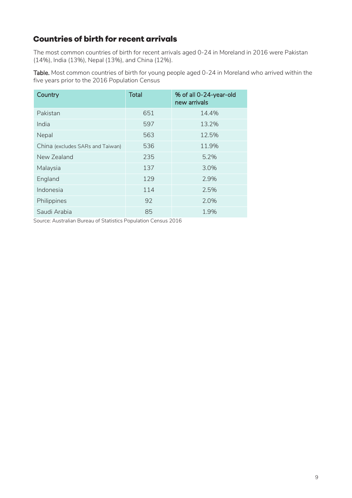## **Countries of birth for recent arrivals**

The most common countries of birth for recent arrivals aged 0-24 in Moreland in 2016 were Pakistan (14%), India (13%), Nepal (13%), and China (12%).

Table. Most common countries of birth for young people aged 0-24 in Moreland who arrived within the five years prior to the 2016 Population Census

| Country                          | <b>Total</b> | % of all 0-24-year-old<br>new arrivals |
|----------------------------------|--------------|----------------------------------------|
| Pakistan                         | 651          | 14.4%                                  |
| India                            | 597          | 13.2%                                  |
| Nepal                            | 563          | 12.5%                                  |
| China (excludes SARs and Taiwan) | 536          | 11.9%                                  |
| New Zealand                      | 235          | 5.2%                                   |
| Malaysia                         | 137          | 3.0%                                   |
| England                          | 129          | 2.9%                                   |
| Indonesia                        | 114          | 2.5%                                   |
| Philippines                      | 92           | 2.0%                                   |
| Saudi Arabia                     | 85           | 1.9%                                   |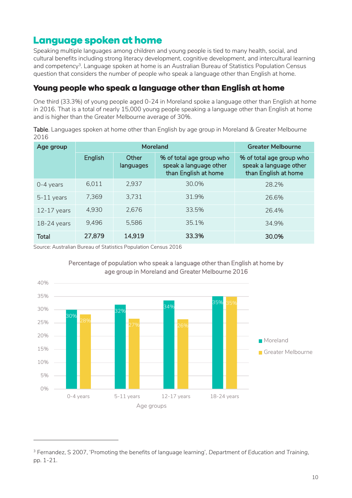## <span id="page-9-0"></span>**Language spoken at home**

Speaking multiple languages among children and young people is tied to many health, social, and cultural benefits including strong literacy development, cognitive development, and intercultural learning and competency 3 . Language spoken at home is an Australian Bureau of Statistics Population Census question that considers the number of people who speak a language other than English at home.

#### Young people who speak a language other than English at home

One third (33.3%) of young people aged 0-24 in Moreland spoke a language other than English at home in 2016. That is a total of nearly 15,000 young people speaking a language other than English at home and is higher than the Greater Melbourne average of 30%.

Table. Languages spoken at home other than English by age group in Moreland & Greater Melbourne 2016

| Age group     |         |                    | <b>Moreland</b>                                                            | <b>Greater Melbourne</b>                                                   |
|---------------|---------|--------------------|----------------------------------------------------------------------------|----------------------------------------------------------------------------|
|               | English | Other<br>languages | % of total age group who<br>speak a language other<br>than English at home | % of total age group who<br>speak a language other<br>than English at home |
| $0-4$ years   | 6,011   | 2,937              | 30.0%                                                                      | 28.2%                                                                      |
| $5-11$ years  | 7,369   | 3,731              | 31.9%                                                                      | 26.6%                                                                      |
| $12-17$ years | 4,930   | 2.676              | 33.5%                                                                      | 26.4%                                                                      |
| $18-24$ years | 9,496   | 5,586              | 35.1%                                                                      | 34.9%                                                                      |
| <b>Total</b>  | 27,879  | 14,919             | 33.3%                                                                      | 30.0%                                                                      |

Source: Australian Bureau of Statistics Population Census 2016

-





<sup>3</sup> Fernandez, S 2007, 'Promoting the benefits of language learning', *Department of Education and Training*, pp. 1-21.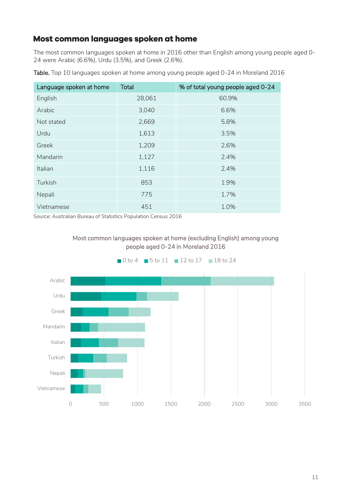## Most common languages spoken at home

The most common languages spoken at home in 2016 other than English among young people aged 0- 24 were Arabic (6.6%), Urdu (3.5%), and Greek (2.6%).

| Language spoken at home | <b>Total</b> | % of total young people aged 0-24 |
|-------------------------|--------------|-----------------------------------|
| English                 | 28,061       | 60.9%                             |
| Arabic                  | 3,040        | 6.6%                              |
| Not stated              | 2,669        | 5.8%                              |
| Urdu                    | 1,613        | 3.5%                              |
| Greek                   | 1,209        | 2.6%                              |
| Mandarin                | 1,127        | 2.4%                              |
| Italian                 | 1,116        | 2.4%                              |
| Turkish                 | 853          | 1.9%                              |
| Nepali                  | 775          | 1.7%                              |
| Vietnamese              | 451          | 1.0%                              |

Table. Top 10 languages spoken at home among young people aged 0-24 in Moreland 2016



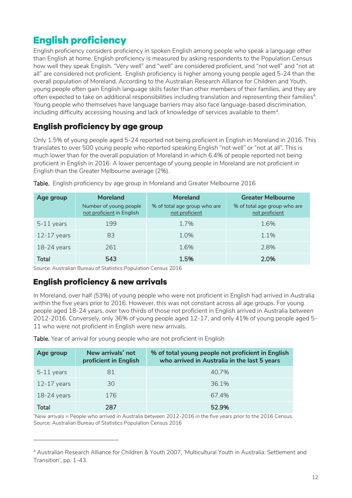# <span id="page-11-0"></span>**English proficiency**

English proficiency considers proficiency in spoken English among people who speak a language other than English at home. English proficiency is measured by asking respondents to the Population Census how well they speak English. "Very well" and "well" are considered proficient, and "not well" and "not at all" are considered not proficient. English proficiency is higher among young people aged 5-24 than the overall population of Moreland. According to the Australian Research Alliance for Children and Youth, young people often gain English language skills faster than other members of their families, and they are often expected to take on additional responsibilities including translation and representing their families 4 . Young people who themselves have language barriers may also face language-based discrimination, including difficulty accessing housing and lack of knowledge of services available to them $^{\rm 4}$ .

## English proficiency by age group

Only 1.5% of young people aged 5-24 reported not being proficient in English in Moreland in 2016. This translates to over 500 young people who reported speaking English "not well" or "not at all". This is much lower than for the overall population of Moreland in which 6.4% of people reported not being proficient in English in 2016. A lower percentage of young people in Moreland are not proficient in English than the Greater Melbourne average (2%).

| Age group     | <b>Moreland</b><br>Number of young people<br>not proficient in English | <b>Moreland</b><br>% of total age group who are<br>not proficient | <b>Greater Melbourne</b><br>% of total age group who are<br>not proficient |
|---------------|------------------------------------------------------------------------|-------------------------------------------------------------------|----------------------------------------------------------------------------|
| $5-11$ years  | 199                                                                    | 1.7%                                                              | 1.6%                                                                       |
| $12-17$ years | 83                                                                     | $1.0\%$                                                           | $1.1\%$                                                                    |
| $18-24$ years | 261                                                                    | 1.6%                                                              | 2.8%                                                                       |
| Total         | 543                                                                    | 1.5%                                                              | 2.0%                                                                       |

Table. English proficiency by age group in Moreland and Greater Melbourne 2016

Source: Australian Bureau of Statistics Population Census 2016

### **English proficiency & new arrivals**

-

In Moreland, over half (53%) of young people who were not proficient in English had arrived in Australia within the five years prior to 2016. However, this was not constant across all age groups. For young people aged 18-24 years, over two thirds of those not proficient in English arrived in Australia between 2012-2016. Conversely, only 36% of young people aged 12-17, and only 41% of young people aged 5- 11 who were not proficient in English were new arrivals.

Table. Year of arrival for young people who are not proficient in English

| Age group     | New arrivals* not<br>proficient in English | % of total young people not proficient in English<br>who arrived in Australia in the last 5 years |  |  |
|---------------|--------------------------------------------|---------------------------------------------------------------------------------------------------|--|--|
| $5-11$ years  | 81                                         | 40.7%                                                                                             |  |  |
| $12-17$ years | 30                                         | 36.1%                                                                                             |  |  |
| $18-24$ years | 176                                        | 67.4%                                                                                             |  |  |
| Total         | 287                                        | 52.9%                                                                                             |  |  |

\*New arrivals = People who arrived in Australia between 2012-2016 in the five years prior to the 2016 Census. Source: Australian Bureau of Statistics Population Census 2016

<sup>4</sup> Australian Research Alliance for Children & Youth 2007, 'Multicultural Youth in Australia: Settlement and Transition', pp. 1-43.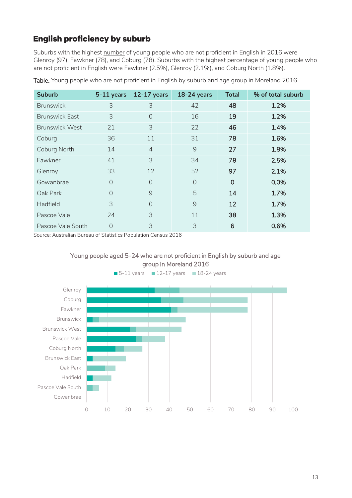## **English proficiency by suburb**

Suburbs with the highest number of young people who are not proficient in English in 2016 were Glenroy (97), Fawkner (78), and Coburg (78). Suburbs with the highest percentage of young people who are not proficient in English were Fawkner (2.5%), Glenroy (2.1%), and Coburg North (1.8%).

| <b>Suburb</b>         | 5-11 years     | $12-17$ years  | <b>18-24 years</b> | <b>Total</b>   | % of total suburb |
|-----------------------|----------------|----------------|--------------------|----------------|-------------------|
| <b>Brunswick</b>      | 3              | 3              | 42                 | 48             | 1.2%              |
| <b>Brunswick East</b> | 3              | $\Omega$       | 16                 | 19             | 1.2%              |
| <b>Brunswick West</b> | 21             | 3              | 22                 | 46             | 1.4%              |
| Coburg                | 36             | 11             | 31                 | 78             | 1.6%              |
| Coburg North          | 14             | $\overline{4}$ | 9                  | 27             | 1.8%              |
| Fawkner               | 41             | 3              | 34                 | 78             | 2.5%              |
| Glenroy               | 33             | 12             | 52                 | 97             | 2.1%              |
| Gowanbrae             | $\overline{0}$ | $\Omega$       | $\bigcap$          | $\overline{0}$ | 0.0%              |
| Oak Park              | $\bigcap$      | 9              | 5                  | 14             | 1.7%              |
| Hadfield              | 3              | $\Omega$       | 9                  | 12             | 1.7%              |
| Pascoe Vale           | 24             | 3              | 11                 | 38             | 1.3%              |
| Pascoe Vale South     | 0              | 3              | 3                  | 6              | 0.6%              |

Table. Young people who are not proficient in English by suburb and age group in Moreland 2016

Source: Australian Bureau of Statistics Population Census 2016





 $\blacksquare$  5-11 years  $\blacksquare$  12-17 years  $\blacksquare$  18-24 years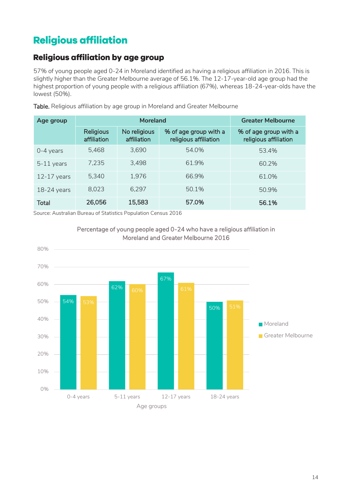# <span id="page-13-0"></span>**Religious affiliation**

## Religious affiliation by age group

57% of young people aged 0-24 in Moreland identified as having a religious affiliation in 2016. This is slightly higher than the Greater Melbourne average of 56.1%. The 12-17-year-old age group had the highest proportion of young people with a religious affiliation (67%), whereas 18-24-year-olds have the lowest (50%).

| Age group     |                                 | <b>Moreland</b>             |                                                | <b>Greater Melbourne</b>                       |
|---------------|---------------------------------|-----------------------------|------------------------------------------------|------------------------------------------------|
|               | <b>Religious</b><br>affiliation | No religious<br>affiliation | % of age group with a<br>religious affiliation | % of age group with a<br>religious affiliation |
| $0-4$ years   | 5,468                           | 3,690                       | 54.0%                                          | 53.4%                                          |
| $5-11$ years  | 7,235                           | 3,498                       | 61.9%                                          | 60.2%                                          |
| $12-17$ years | 5,340                           | 1,976                       | 66.9%                                          | 61.0%                                          |
| $18-24$ years | 8,023                           | 6,297                       | 50.1%                                          | 50.9%                                          |
| <b>Total</b>  | 26,056                          | 15,583                      | 57.0%                                          | 56.1%                                          |

Table. Religious affiliation by age group in Moreland and Greater Melbourne



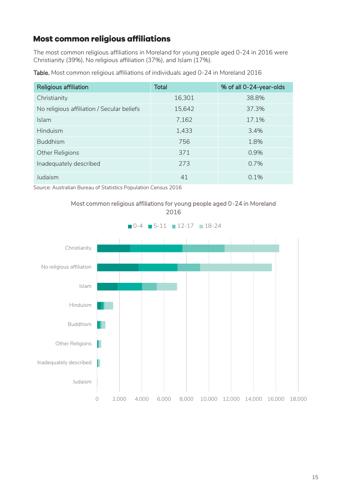## **Most common religious affiliations**

The most common religious affiliations in Moreland for young people aged 0-24 in 2016 were Christianity (39%), No religious affiliation (37%), and Islam (17%).

| <b>Religious affiliation</b>               | Total  | % of all 0-24-year-olds |
|--------------------------------------------|--------|-------------------------|
| Christianity                               | 16,301 | 38.8%                   |
| No religious affiliation / Secular beliefs | 15,642 | 37.3%                   |
| <b>Islam</b>                               | 7,162  | 17.1%                   |
| Hinduism                                   | 1,433  | 3.4%                    |
| <b>Buddhism</b>                            | 756    | 18%                     |

Other Religions 6.9% Inadequately described and the 273 contract of  $\sim$  273 contract 273 contract 0.7%

Judaism  $0.1\%$ 

Table. Most common religious affiliations of individuals aged 0-24 in Moreland 2016

Source: Australian Bureau of Statistics Population Census 2016



Most common religious affiliations for young people aged 0-24 in Moreland 2016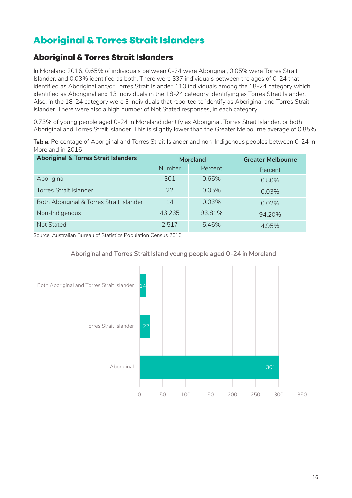# <span id="page-15-0"></span>**Aboriginal & Torres Strait Islanders**

## **Aboriginal & Torres Strait Islanders**

In Moreland 2016, 0.65% of individuals between 0-24 were Aboriginal, 0.05% were Torres Strait Islander, and 0.03% identified as both. There were 337 individuals between the ages of 0-24 that identified as Aboriginal and/or Torres Strait Islander. 110 individuals among the 18-24 category which identified as Aboriginal and 13 individuals in the 18-24 category identifying as Torres Strait Islander. Also, in the 18-24 category were 3 individuals that reported to identify as Aboriginal and Torres Strait Islander. There were also a high number of Not Stated responses, in each category.

0.73% of young people aged 0-24 in Moreland identify as Aboriginal, Torres Strait Islander, or both Aboriginal and Torres Strait Islander. This is slightly lower than the Greater Melbourne average of 0.85%.

| Table. Percentage of Aboriginal and Torres Strait Islander and non-Indigenous peoples between 0-24 in |  |  |
|-------------------------------------------------------------------------------------------------------|--|--|
| Moreland in 2016                                                                                      |  |  |
|                                                                                                       |  |  |

| <b>Aboriginal &amp; Torres Strait Islanders</b> | <b>Moreland</b> |          | <b>Greater Melbourne</b> |
|-------------------------------------------------|-----------------|----------|--------------------------|
|                                                 | <b>Number</b>   | Percent  | Percent                  |
| Aboriginal                                      | 301             | 0.65%    | 0.80%                    |
| <b>Torres Strait Islander</b>                   | 22              | 0.05%    | 0.03%                    |
| Both Aboriginal & Torres Strait Islander        | 14              | $0.03\%$ | $0.02\%$                 |
| Non-Indigenous                                  | 43,235          | 93.81%   | 94.20%                   |
| Not Stated                                      | 2,517           | 5.46%    | 4.95%                    |

Source: Australian Bureau of Statistics Population Census 2016



#### Aboriginal and Torres Strait Island young people aged 0-24 in Moreland